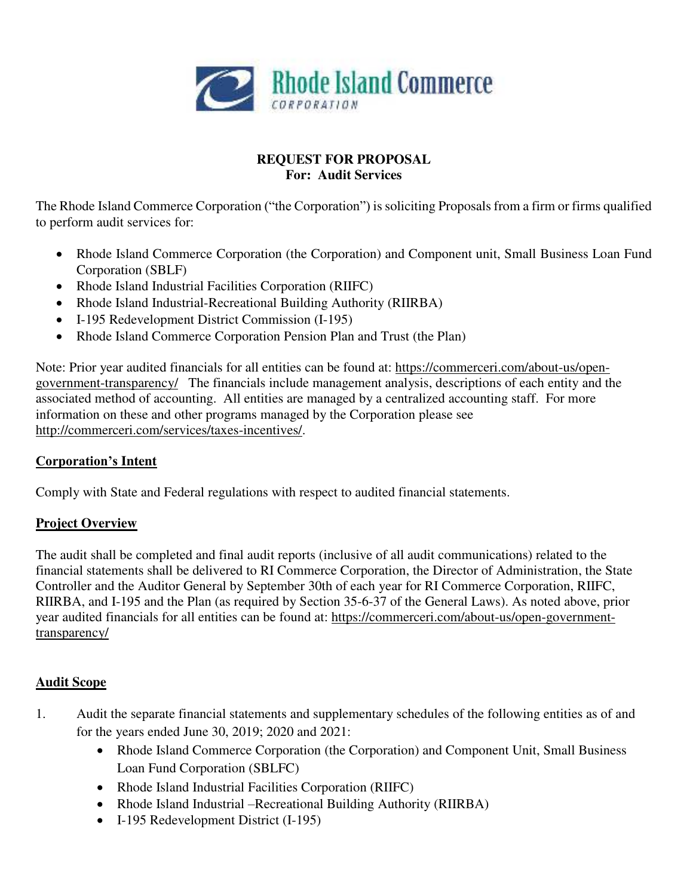

# **REQUEST FOR PROPOSAL For: Audit Services**

The Rhode Island Commerce Corporation ("the Corporation") is soliciting Proposals from a firm or firms qualified to perform audit services for:

- Rhode Island Commerce Corporation (the Corporation) and Component unit, Small Business Loan Fund Corporation (SBLF)
- Rhode Island Industrial Facilities Corporation (RIIFC)
- Rhode Island Industrial-Recreational Building Authority (RIIRBA)
- I-195 Redevelopment District Commission (I-195)
- Rhode Island Commerce Corporation Pension Plan and Trust (the Plan)

Note: Prior year audited financials for all entities can be found at: [https://commerceri.com/about-us/open](https://commerceri.com/about-us/open-government-transparency/)[government-transparency/](https://commerceri.com/about-us/open-government-transparency/) The financials include management analysis, descriptions of each entity and the associated method of accounting. All entities are managed by a centralized accounting staff. For more information on these and other programs managed by the Corporation please see [http://commerceri.com/services/taxes-incentives/.](http://commerceri.com/services/taxes-incentives/)

## **Corporation's Intent**

Comply with State and Federal regulations with respect to audited financial statements.

# **Project Overview**

The audit shall be completed and final audit reports (inclusive of all audit communications) related to the financial statements shall be delivered to RI Commerce Corporation, the Director of Administration, the State Controller and the Auditor General by September 30th of each year for RI Commerce Corporation, RIIFC, RIIRBA, and I-195 and the Plan (as required by Section 35-6-37 of the General Laws). As noted above, prior year audited financials for all entities can be found at: [https://commerceri.com/about-us/open-government](https://commerceri.com/about-us/open-government-transparency/)[transparency/](https://commerceri.com/about-us/open-government-transparency/) 

## **Audit Scope**

- 1. Audit the separate financial statements and supplementary schedules of the following entities as of and for the years ended June 30, 2019; 2020 and 2021:
	- Rhode Island Commerce Corporation (the Corporation) and Component Unit, Small Business Loan Fund Corporation (SBLFC)
	- Rhode Island Industrial Facilities Corporation (RIIFC)
	- Rhode Island Industrial –Recreational Building Authority (RIIRBA)
	- I-195 Redevelopment District (I-195)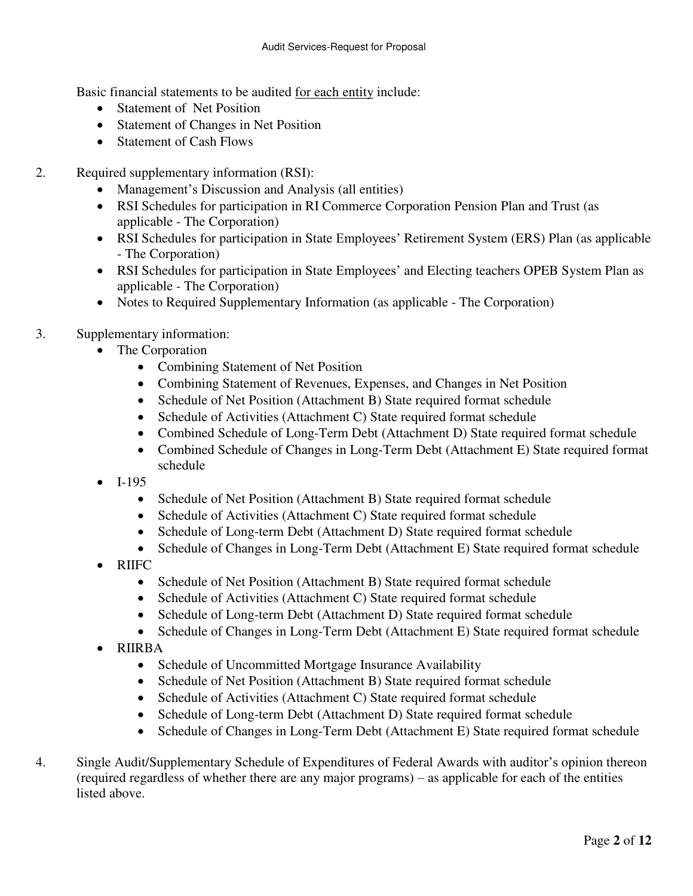Basic financial statements to be audited for each entity include:

- **Statement of Net Position**
- Statement of Changes in Net Position
- Statement of Cash Flows
- 2. Required supplementary information (RSI):
	- Management's Discussion and Analysis (all entities)
	- RSI Schedules for participation in RI Commerce Corporation Pension Plan and Trust (as applicable - The Corporation)
	- RSI Schedules for participation in State Employees' Retirement System (ERS) Plan (as applicable - The Corporation)
	- RSI Schedules for participation in State Employees' and Electing teachers OPEB System Plan as applicable - The Corporation)
	- Notes to Required Supplementary Information (as applicable The Corporation)
- 3. Supplementary information:
	- The Corporation
		- Combining Statement of Net Position
		- Combining Statement of Revenues, Expenses, and Changes in Net Position
		- Schedule of Net Position (Attachment B) State required format schedule
		- Schedule of Activities (Attachment C) State required format schedule
		- Combined Schedule of Long-Term Debt (Attachment D) State required format schedule
		- Combined Schedule of Changes in Long-Term Debt (Attachment E) State required format schedule
	- I-195
		- Schedule of Net Position (Attachment B) State required format schedule
		- Schedule of Activities (Attachment C) State required format schedule
		- Schedule of Long-term Debt (Attachment D) State required format schedule
		- Schedule of Changes in Long-Term Debt (Attachment E) State required format schedule
	- RIIFC
		- Schedule of Net Position (Attachment B) State required format schedule
		- Schedule of Activities (Attachment C) State required format schedule
		- Schedule of Long-term Debt (Attachment D) State required format schedule
		- Schedule of Changes in Long-Term Debt (Attachment E) State required format schedule
	- RIIRBA
		- Schedule of Uncommitted Mortgage Insurance Availability
		- Schedule of Net Position (Attachment B) State required format schedule
		- Schedule of Activities (Attachment C) State required format schedule
		- Schedule of Long-term Debt (Attachment D) State required format schedule
		- Schedule of Changes in Long-Term Debt (Attachment E) State required format schedule
- 4. Single Audit/Supplementary Schedule of Expenditures of Federal Awards with auditor's opinion thereon (required regardless of whether there are any major programs) – as applicable for each of the entities listed above.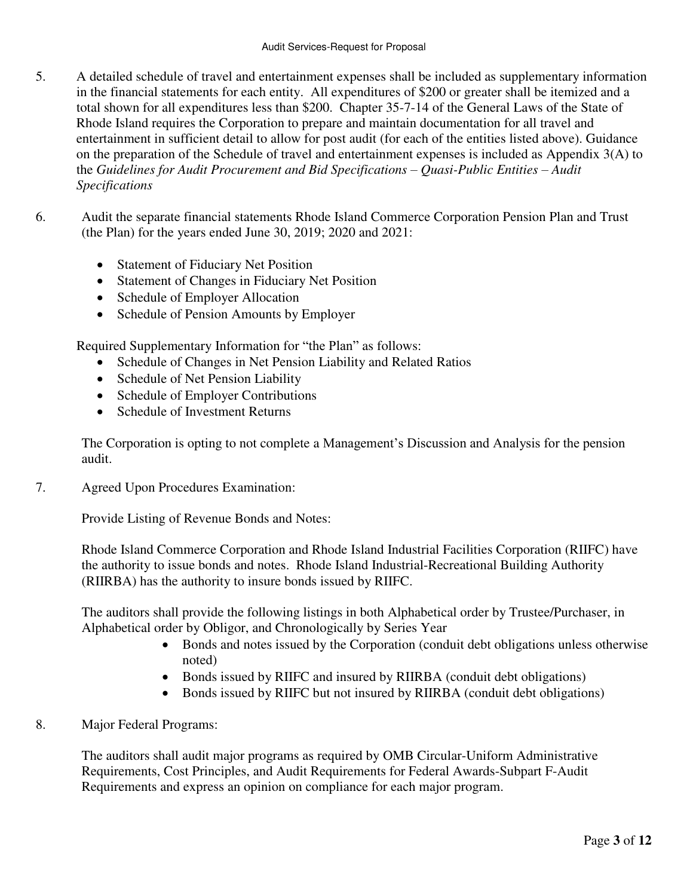- 5. A detailed schedule of travel and entertainment expenses shall be included as supplementary information in the financial statements for each entity. All expenditures of \$200 or greater shall be itemized and a total shown for all expenditures less than \$200. Chapter 35-7-14 of the General Laws of the State of Rhode Island requires the Corporation to prepare and maintain documentation for all travel and entertainment in sufficient detail to allow for post audit (for each of the entities listed above). Guidance on the preparation of the Schedule of travel and entertainment expenses is included as Appendix 3(A) to the *Guidelines for Audit Procurement and Bid Specifications – Quasi-Public Entities – Audit Specifications*
- 6. Audit the separate financial statements Rhode Island Commerce Corporation Pension Plan and Trust (the Plan) for the years ended June 30, 2019; 2020 and 2021:
	- Statement of Fiduciary Net Position
	- Statement of Changes in Fiduciary Net Position
	- Schedule of Employer Allocation
	- Schedule of Pension Amounts by Employer

Required Supplementary Information for "the Plan" as follows:

- Schedule of Changes in Net Pension Liability and Related Ratios
- Schedule of Net Pension Liability
- Schedule of Employer Contributions
- Schedule of Investment Returns

The Corporation is opting to not complete a Management's Discussion and Analysis for the pension audit.

7. Agreed Upon Procedures Examination:

Provide Listing of Revenue Bonds and Notes:

Rhode Island Commerce Corporation and Rhode Island Industrial Facilities Corporation (RIIFC) have the authority to issue bonds and notes. Rhode Island Industrial-Recreational Building Authority (RIIRBA) has the authority to insure bonds issued by RIIFC.

The auditors shall provide the following listings in both Alphabetical order by Trustee/Purchaser, in Alphabetical order by Obligor, and Chronologically by Series Year

- Bonds and notes issued by the Corporation (conduit debt obligations unless otherwise noted)
- Bonds issued by RIIFC and insured by RIIRBA (conduit debt obligations)
- Bonds issued by RIIFC but not insured by RIIRBA (conduit debt obligations)
- 8. Major Federal Programs:

 The auditors shall audit major programs as required by OMB Circular-Uniform Administrative Requirements, Cost Principles, and Audit Requirements for Federal Awards-Subpart F-Audit Requirements and express an opinion on compliance for each major program.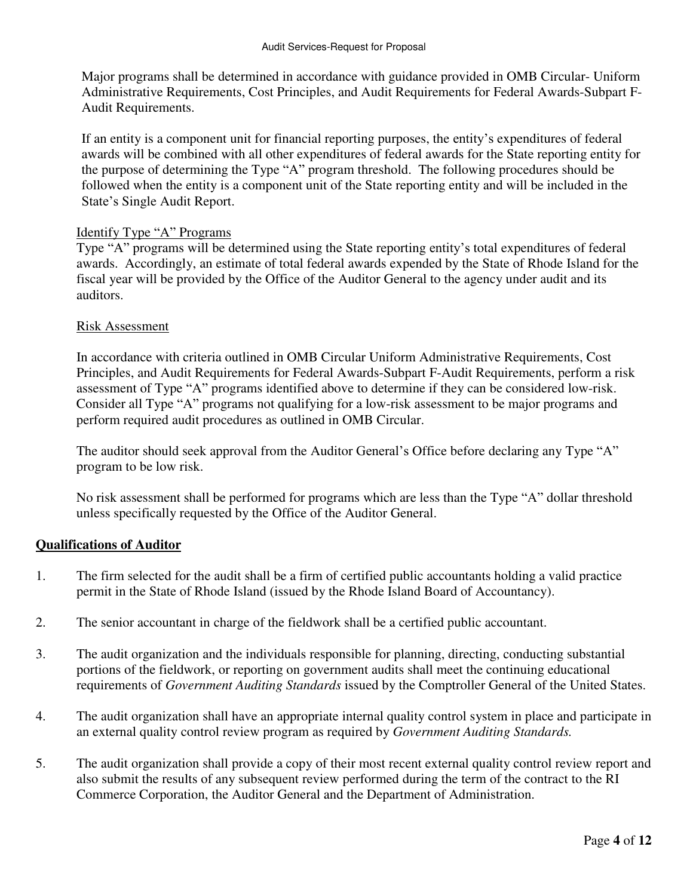Major programs shall be determined in accordance with guidance provided in OMB Circular- Uniform Administrative Requirements, Cost Principles, and Audit Requirements for Federal Awards-Subpart F-Audit Requirements.

If an entity is a component unit for financial reporting purposes, the entity's expenditures of federal awards will be combined with all other expenditures of federal awards for the State reporting entity for the purpose of determining the Type "A" program threshold. The following procedures should be followed when the entity is a component unit of the State reporting entity and will be included in the State's Single Audit Report.

### Identify Type "A" Programs

Type "A" programs will be determined using the State reporting entity's total expenditures of federal awards. Accordingly, an estimate of total federal awards expended by the State of Rhode Island for the fiscal year will be provided by the Office of the Auditor General to the agency under audit and its auditors.

### Risk Assessment

In accordance with criteria outlined in OMB Circular Uniform Administrative Requirements, Cost Principles, and Audit Requirements for Federal Awards-Subpart F-Audit Requirements, perform a risk assessment of Type "A" programs identified above to determine if they can be considered low-risk. Consider all Type "A" programs not qualifying for a low-risk assessment to be major programs and perform required audit procedures as outlined in OMB Circular.

The auditor should seek approval from the Auditor General's Office before declaring any Type "A" program to be low risk.

No risk assessment shall be performed for programs which are less than the Type "A" dollar threshold unless specifically requested by the Office of the Auditor General.

## **Qualifications of Auditor**

- 1. The firm selected for the audit shall be a firm of certified public accountants holding a valid practice permit in the State of Rhode Island (issued by the Rhode Island Board of Accountancy).
- 2. The senior accountant in charge of the fieldwork shall be a certified public accountant.
- 3. The audit organization and the individuals responsible for planning, directing, conducting substantial portions of the fieldwork, or reporting on government audits shall meet the continuing educational requirements of *Government Auditing Standards* issued by the Comptroller General of the United States.
- 4. The audit organization shall have an appropriate internal quality control system in place and participate in an external quality control review program as required by *Government Auditing Standards.*
- 5. The audit organization shall provide a copy of their most recent external quality control review report and also submit the results of any subsequent review performed during the term of the contract to the RI Commerce Corporation, the Auditor General and the Department of Administration.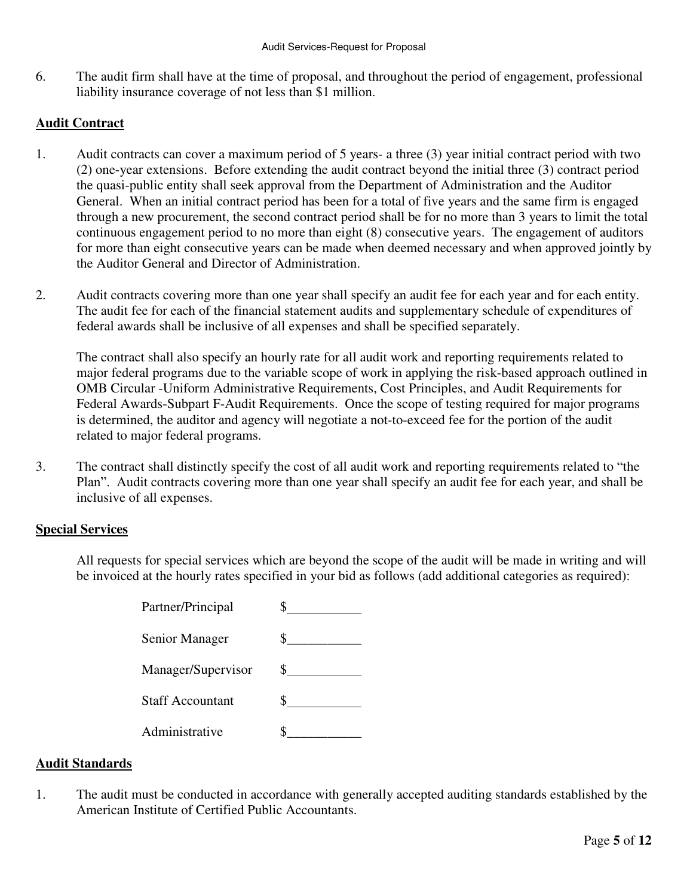6. The audit firm shall have at the time of proposal, and throughout the period of engagement, professional liability insurance coverage of not less than \$1 million.

## **Audit Contract**

- 1. Audit contracts can cover a maximum period of 5 years- a three (3) year initial contract period with two (2) one-year extensions. Before extending the audit contract beyond the initial three (3) contract period the quasi-public entity shall seek approval from the Department of Administration and the Auditor General. When an initial contract period has been for a total of five years and the same firm is engaged through a new procurement, the second contract period shall be for no more than 3 years to limit the total continuous engagement period to no more than eight (8) consecutive years. The engagement of auditors for more than eight consecutive years can be made when deemed necessary and when approved jointly by the Auditor General and Director of Administration.
- 2. Audit contracts covering more than one year shall specify an audit fee for each year and for each entity. The audit fee for each of the financial statement audits and supplementary schedule of expenditures of federal awards shall be inclusive of all expenses and shall be specified separately.

The contract shall also specify an hourly rate for all audit work and reporting requirements related to major federal programs due to the variable scope of work in applying the risk-based approach outlined in OMB Circular -Uniform Administrative Requirements, Cost Principles, and Audit Requirements for Federal Awards-Subpart F-Audit Requirements. Once the scope of testing required for major programs is determined, the auditor and agency will negotiate a not-to-exceed fee for the portion of the audit related to major federal programs.

3. The contract shall distinctly specify the cost of all audit work and reporting requirements related to "the Plan". Audit contracts covering more than one year shall specify an audit fee for each year, and shall be inclusive of all expenses.

### **Special Services**

All requests for special services which are beyond the scope of the audit will be made in writing and will be invoiced at the hourly rates specified in your bid as follows (add additional categories as required):

> Partner/Principal  $\qquad \qquad \text{\_}$ Senior Manager  $\qquad \qquad \$  Manager/Supervisor \$ Staff Accountant \$ Administrative \$\_\_\_\_\_\_\_\_\_\_\_

### **Audit Standards**

1. The audit must be conducted in accordance with generally accepted auditing standards established by the American Institute of Certified Public Accountants.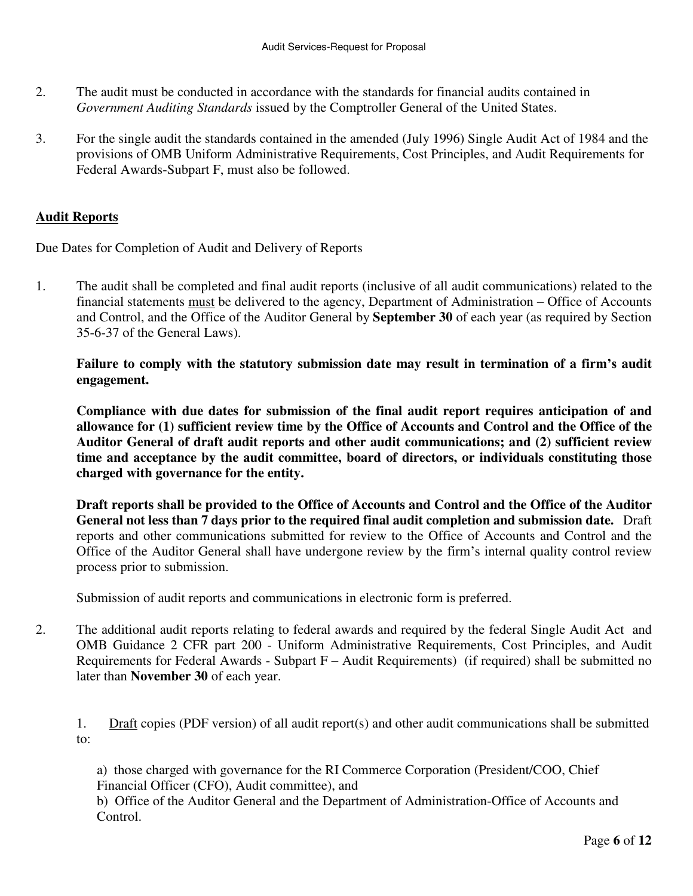- 2. The audit must be conducted in accordance with the standards for financial audits contained in *Government Auditing Standards* issued by the Comptroller General of the United States.
- 3. For the single audit the standards contained in the amended (July 1996) Single Audit Act of 1984 and the provisions of OMB Uniform Administrative Requirements, Cost Principles, and Audit Requirements for Federal Awards-Subpart F, must also be followed.

## **Audit Reports**

Due Dates for Completion of Audit and Delivery of Reports

1. The audit shall be completed and final audit reports (inclusive of all audit communications) related to the financial statements must be delivered to the agency, Department of Administration – Office of Accounts and Control, and the Office of the Auditor General by **September 30** of each year (as required by Section 35-6-37 of the General Laws).

**Failure to comply with the statutory submission date may result in termination of a firm's audit engagement.** 

**Compliance with due dates for submission of the final audit report requires anticipation of and allowance for (1) sufficient review time by the Office of Accounts and Control and the Office of the Auditor General of draft audit reports and other audit communications; and (2) sufficient review time and acceptance by the audit committee, board of directors, or individuals constituting those charged with governance for the entity.** 

**Draft reports shall be provided to the Office of Accounts and Control and the Office of the Auditor General not less than 7 days prior to the required final audit completion and submission date.** Draft reports and other communications submitted for review to the Office of Accounts and Control and the Office of the Auditor General shall have undergone review by the firm's internal quality control review process prior to submission.

Submission of audit reports and communications in electronic form is preferred.

2. The additional audit reports relating to federal awards and required by the federal Single Audit Act and OMB Guidance 2 CFR part 200 - Uniform Administrative Requirements, Cost Principles, and Audit Requirements for Federal Awards - Subpart F – Audit Requirements) (if required) shall be submitted no later than **November 30** of each year.

1. Draft copies (PDF version) of all audit report(s) and other audit communications shall be submitted to:

a) those charged with governance for the RI Commerce Corporation (President/COO, Chief Financial Officer (CFO), Audit committee), and

b) Office of the Auditor General and the Department of Administration-Office of Accounts and Control.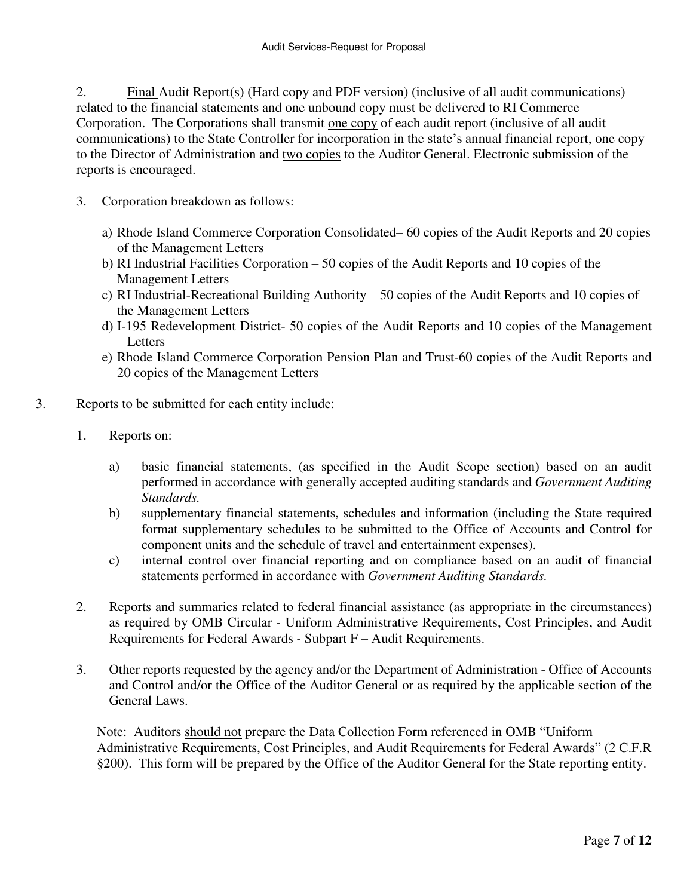2. Final Audit Report(s) (Hard copy and PDF version) (inclusive of all audit communications) related to the financial statements and one unbound copy must be delivered to RI Commerce Corporation. The Corporations shall transmit one copy of each audit report (inclusive of all audit communications) to the State Controller for incorporation in the state's annual financial report, one copy to the Director of Administration and two copies to the Auditor General. Electronic submission of the reports is encouraged.

- 3. Corporation breakdown as follows:
	- a) Rhode Island Commerce Corporation Consolidated– 60 copies of the Audit Reports and 20 copies of the Management Letters
	- b) RI Industrial Facilities Corporation 50 copies of the Audit Reports and 10 copies of the Management Letters
	- c) RI Industrial-Recreational Building Authority 50 copies of the Audit Reports and 10 copies of the Management Letters
	- d) I-195 Redevelopment District- 50 copies of the Audit Reports and 10 copies of the Management **Letters**
	- e) Rhode Island Commerce Corporation Pension Plan and Trust-60 copies of the Audit Reports and 20 copies of the Management Letters
- 3. Reports to be submitted for each entity include:
	- 1. Reports on:
		- a) basic financial statements, (as specified in the Audit Scope section) based on an audit performed in accordance with generally accepted auditing standards and *Government Auditing Standards.*
		- b) supplementary financial statements, schedules and information (including the State required format supplementary schedules to be submitted to the Office of Accounts and Control for component units and the schedule of travel and entertainment expenses).
		- c) internal control over financial reporting and on compliance based on an audit of financial statements performed in accordance with *Government Auditing Standards.*
	- 2. Reports and summaries related to federal financial assistance (as appropriate in the circumstances) as required by OMB Circular - Uniform Administrative Requirements, Cost Principles, and Audit Requirements for Federal Awards - Subpart F – Audit Requirements.
	- 3. Other reports requested by the agency and/or the Department of Administration Office of Accounts and Control and/or the Office of the Auditor General or as required by the applicable section of the General Laws.

 Note: Auditors should not prepare the Data Collection Form referenced in OMB "Uniform Administrative Requirements, Cost Principles, and Audit Requirements for Federal Awards" (2 C.F.R §200). This form will be prepared by the Office of the Auditor General for the State reporting entity.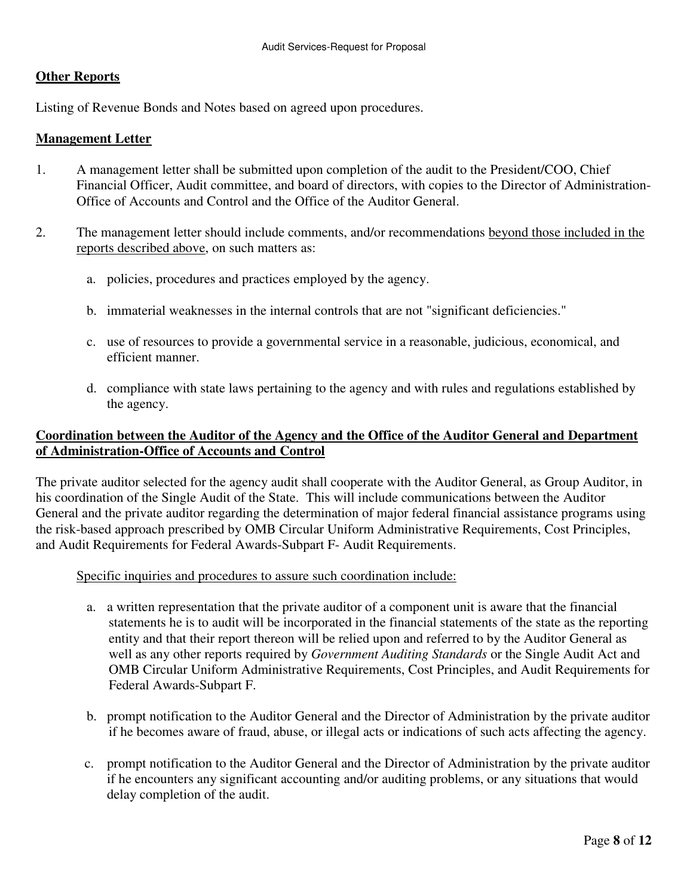### **Other Reports**

Listing of Revenue Bonds and Notes based on agreed upon procedures.

#### **Management Letter**

- 1. A management letter shall be submitted upon completion of the audit to the President/COO, Chief Financial Officer, Audit committee, and board of directors, with copies to the Director of Administration-Office of Accounts and Control and the Office of the Auditor General.
- 2. The management letter should include comments, and/or recommendations beyond those included in the reports described above, on such matters as:
	- a. policies, procedures and practices employed by the agency.
	- b. immaterial weaknesses in the internal controls that are not "significant deficiencies."
	- c. use of resources to provide a governmental service in a reasonable, judicious, economical, and efficient manner.
	- d. compliance with state laws pertaining to the agency and with rules and regulations established by the agency.

## **Coordination between the Auditor of the Agency and the Office of the Auditor General and Department of Administration-Office of Accounts and Control**

The private auditor selected for the agency audit shall cooperate with the Auditor General, as Group Auditor, in his coordination of the Single Audit of the State. This will include communications between the Auditor General and the private auditor regarding the determination of major federal financial assistance programs using the risk-based approach prescribed by OMB Circular Uniform Administrative Requirements, Cost Principles, and Audit Requirements for Federal Awards-Subpart F- Audit Requirements.

### Specific inquiries and procedures to assure such coordination include:

- a. a written representation that the private auditor of a component unit is aware that the financial statements he is to audit will be incorporated in the financial statements of the state as the reporting entity and that their report thereon will be relied upon and referred to by the Auditor General as well as any other reports required by *Government Auditing Standards* or the Single Audit Act and OMB Circular Uniform Administrative Requirements, Cost Principles, and Audit Requirements for Federal Awards-Subpart F.
- b. prompt notification to the Auditor General and the Director of Administration by the private auditor if he becomes aware of fraud, abuse, or illegal acts or indications of such acts affecting the agency.
- c. prompt notification to the Auditor General and the Director of Administration by the private auditor if he encounters any significant accounting and/or auditing problems, or any situations that would delay completion of the audit.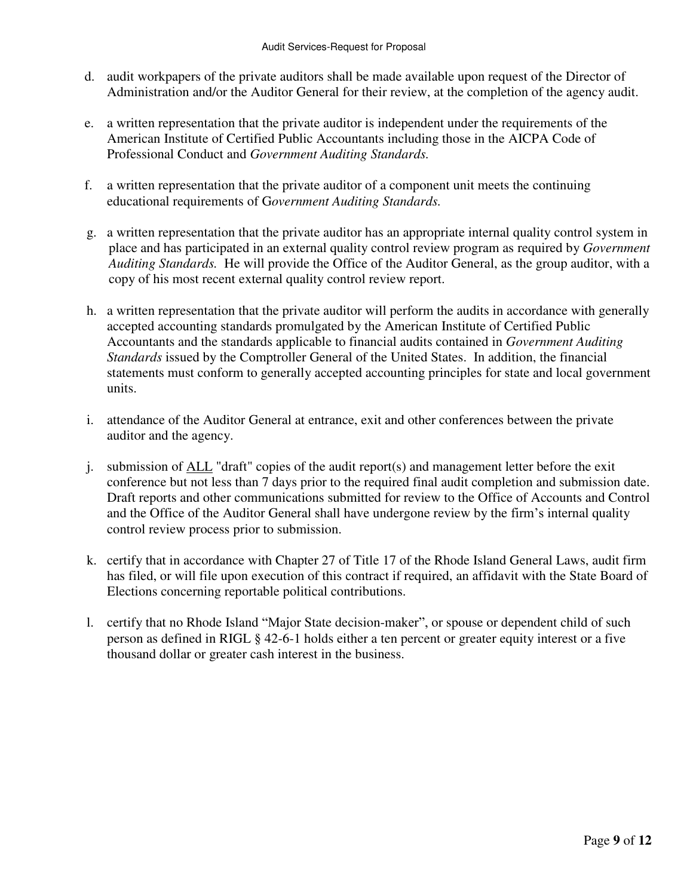- d. audit workpapers of the private auditors shall be made available upon request of the Director of Administration and/or the Auditor General for their review, at the completion of the agency audit.
- e. a written representation that the private auditor is independent under the requirements of the American Institute of Certified Public Accountants including those in the AICPA Code of Professional Conduct and *Government Auditing Standards.*
- f. a written representation that the private auditor of a component unit meets the continuing educational requirements of G*overnment Auditing Standards.*
- g. a written representation that the private auditor has an appropriate internal quality control system in place and has participated in an external quality control review program as required by *Government Auditing Standards.* He will provide the Office of the Auditor General, as the group auditor, with a copy of his most recent external quality control review report.
- h. a written representation that the private auditor will perform the audits in accordance with generally accepted accounting standards promulgated by the American Institute of Certified Public Accountants and the standards applicable to financial audits contained in *Government Auditing Standards* issued by the Comptroller General of the United States. In addition, the financial statements must conform to generally accepted accounting principles for state and local government units.
- i. attendance of the Auditor General at entrance, exit and other conferences between the private auditor and the agency.
- j. submission of ALL "draft" copies of the audit report(s) and management letter before the exit conference but not less than 7 days prior to the required final audit completion and submission date. Draft reports and other communications submitted for review to the Office of Accounts and Control and the Office of the Auditor General shall have undergone review by the firm's internal quality control review process prior to submission.
- k. certify that in accordance with Chapter 27 of Title 17 of the Rhode Island General Laws, audit firm has filed, or will file upon execution of this contract if required, an affidavit with the State Board of Elections concerning reportable political contributions.
- l. certify that no Rhode Island "Major State decision-maker", or spouse or dependent child of such person as defined in RIGL § 42-6-1 holds either a ten percent or greater equity interest or a five thousand dollar or greater cash interest in the business.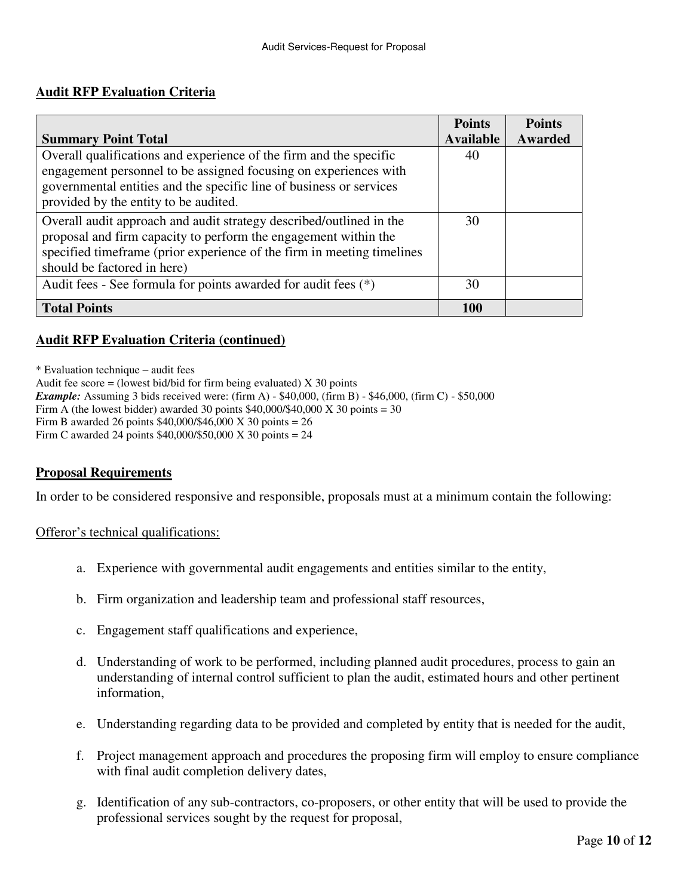## **Audit RFP Evaluation Criteria**

|                                                                        | <b>Points</b>    | <b>Points</b> |
|------------------------------------------------------------------------|------------------|---------------|
| <b>Summary Point Total</b>                                             | <b>Available</b> | Awarded       |
| Overall qualifications and experience of the firm and the specific     | 40               |               |
| engagement personnel to be assigned focusing on experiences with       |                  |               |
| governmental entities and the specific line of business or services    |                  |               |
| provided by the entity to be audited.                                  |                  |               |
| Overall audit approach and audit strategy described/outlined in the    | 30               |               |
| proposal and firm capacity to perform the engagement within the        |                  |               |
| specified timeframe (prior experience of the firm in meeting timelines |                  |               |
| should be factored in here)                                            |                  |               |
| Audit fees - See formula for points awarded for audit fees (*)         | 30               |               |
| <b>Total Points</b>                                                    | <b>100</b>       |               |

## **Audit RFP Evaluation Criteria (continued)**

\* Evaluation technique – audit fees

Audit fee score = (lowest bid/bid for firm being evaluated)  $X$  30 points

*Example:* Assuming 3 bids received were: (firm A) - \$40,000, (firm B) - \$46,000, (firm C) - \$50,000

Firm A (the lowest bidder) awarded 30 points  $$40,000/$40,000$  X 30 points = 30

Firm B awarded 26 points \$40,000/\$46,000 X 30 points = 26

Firm C awarded 24 points \$40,000/\$50,000 X 30 points = 24

### **Proposal Requirements**

In order to be considered responsive and responsible, proposals must at a minimum contain the following:

#### Offeror's technical qualifications:

- a. Experience with governmental audit engagements and entities similar to the entity,
- b. Firm organization and leadership team and professional staff resources,
- c. Engagement staff qualifications and experience,
- d. Understanding of work to be performed, including planned audit procedures, process to gain an understanding of internal control sufficient to plan the audit, estimated hours and other pertinent information,
- e. Understanding regarding data to be provided and completed by entity that is needed for the audit,
- f. Project management approach and procedures the proposing firm will employ to ensure compliance with final audit completion delivery dates,
- g. Identification of any sub-contractors, co-proposers, or other entity that will be used to provide the professional services sought by the request for proposal,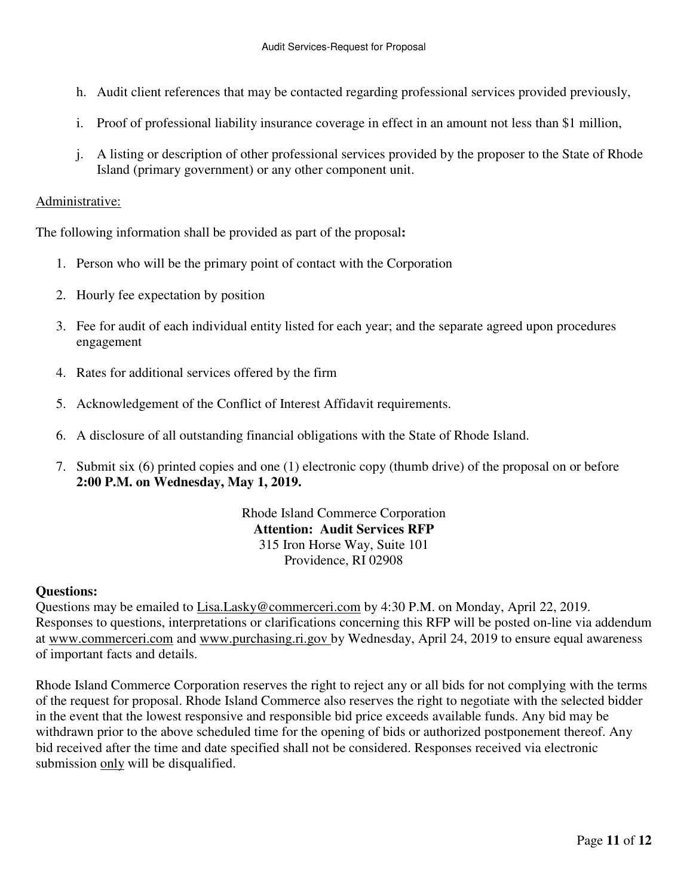- h. Audit client references that may be contacted regarding professional services provided previously,
- i. Proof of professional liability insurance coverage in effect in an amount not less than \$1 million,
- j. A listing or description of other professional services provided by the proposer to the State of Rhode Island (primary government) or any other component unit.

### Administrative:

The following information shall be provided as part of the proposal**:** 

- 1. Person who will be the primary point of contact with the Corporation
- 2. Hourly fee expectation by position
- 3. Fee for audit of each individual entity listed for each year; and the separate agreed upon procedures engagement
- 4. Rates for additional services offered by the firm
- 5. Acknowledgement of the Conflict of Interest Affidavit requirements.
- 6. A disclosure of all outstanding financial obligations with the State of Rhode Island.
- 7. Submit six (6) printed copies and one (1) electronic copy (thumb drive) of the proposal on or before **2:00 P.M. on Wednesday, May 1, 2019.**

Rhode Island Commerce Corporation **Attention: Audit Services RFP**  315 Iron Horse Way, Suite 101 Providence, RI 02908

## **Questions:**

Questions may be emailed to [Lisa.Lasky@commerceri.com](mailto:Lisa.Lasky@commerceri.com) by 4:30 P.M. on Monday, April 22, 2019. Responses to questions, interpretations or clarifications concerning this RFP will be posted on-line via addendum at [www.commerceri.com](http://www.commerceri.com/) and [www.purchasing.ri.gov](http://www.purchasing.ri.gov/) by Wednesday, April 24, 2019 to ensure equal awareness of important facts and details.

Rhode Island Commerce Corporation reserves the right to reject any or all bids for not complying with the terms of the request for proposal. Rhode Island Commerce also reserves the right to negotiate with the selected bidder in the event that the lowest responsive and responsible bid price exceeds available funds. Any bid may be withdrawn prior to the above scheduled time for the opening of bids or authorized postponement thereof. Any bid received after the time and date specified shall not be considered. Responses received via electronic submission only will be disqualified.